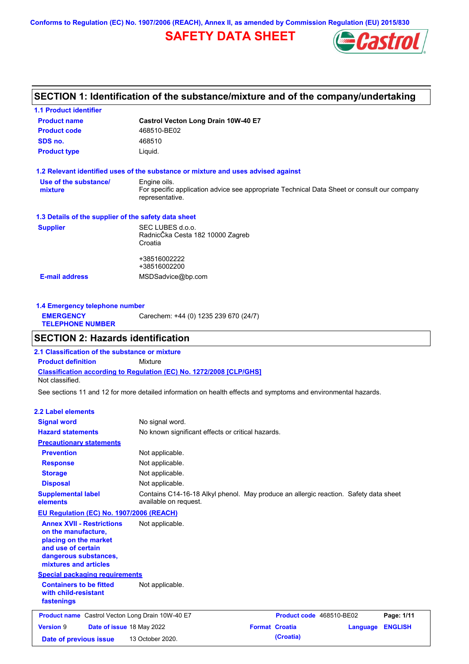**Conforms to Regulation (EC) No. 1907/2006 (REACH), Annex II, as amended by Commission Regulation (EU) 2015/830**

# **SAFETY DATA SHEET**



# **SECTION 1: Identification of the substance/mixture and of the company/undertaking**

| <b>1.1 Product identifier</b>                        |                                                                                                                |
|------------------------------------------------------|----------------------------------------------------------------------------------------------------------------|
| <b>Product name</b>                                  | Castrol Vecton Long Drain 10W-40 E7                                                                            |
| <b>Product code</b>                                  | 468510-BE02                                                                                                    |
| SDS no.                                              | 468510                                                                                                         |
| <b>Product type</b>                                  | Liquid.                                                                                                        |
|                                                      | 1.2 Relevant identified uses of the substance or mixture and uses advised against                              |
| Use of the substance/                                | Engine oils.                                                                                                   |
| mixture                                              | For specific application advice see appropriate Technical Data Sheet or consult our company<br>representative. |
| 1.3 Details of the supplier of the safety data sheet |                                                                                                                |
| <b>Supplier</b>                                      | SEC LUBES d.o.o.                                                                                               |
|                                                      | RadnicČka Cesta 182 10000 Zagreb                                                                               |
|                                                      | Croatia                                                                                                        |
|                                                      | +38516002222                                                                                                   |
|                                                      | +38516002200                                                                                                   |
| <b>E-mail address</b>                                | MSDSadvice@bp.com                                                                                              |
|                                                      |                                                                                                                |

| 1.4 Emergency telephone number              |                                       |  |  |  |
|---------------------------------------------|---------------------------------------|--|--|--|
| <b>EMERGENCY</b><br><b>TELEPHONE NUMBER</b> | Carechem: +44 (0) 1235 239 670 (24/7) |  |  |  |
|                                             |                                       |  |  |  |

## **SECTION 2: Hazards identification**

**Classification according to Regulation (EC) No. 1272/2008 [CLP/GHS] 2.1 Classification of the substance or mixture Product definition** Mixture Not classified.

See sections 11 and 12 for more detailed information on health effects and symptoms and environmental hazards.

### **2.2 Label elements**

| <b>Signal word</b>                                                                                                                                       | No signal word.                                                                                               |                       |                          |          |                |
|----------------------------------------------------------------------------------------------------------------------------------------------------------|---------------------------------------------------------------------------------------------------------------|-----------------------|--------------------------|----------|----------------|
| <b>Hazard statements</b>                                                                                                                                 | No known significant effects or critical hazards.                                                             |                       |                          |          |                |
| <b>Precautionary statements</b>                                                                                                                          |                                                                                                               |                       |                          |          |                |
| <b>Prevention</b>                                                                                                                                        | Not applicable.                                                                                               |                       |                          |          |                |
| <b>Response</b>                                                                                                                                          | Not applicable.                                                                                               |                       |                          |          |                |
| <b>Storage</b>                                                                                                                                           | Not applicable.                                                                                               |                       |                          |          |                |
| <b>Disposal</b>                                                                                                                                          | Not applicable.                                                                                               |                       |                          |          |                |
| <b>Supplemental label</b><br>elements                                                                                                                    | Contains C14-16-18 Alkyl phenol. May produce an allergic reaction. Safety data sheet<br>available on request. |                       |                          |          |                |
| EU Regulation (EC) No. 1907/2006 (REACH)                                                                                                                 |                                                                                                               |                       |                          |          |                |
| <b>Annex XVII - Restrictions</b><br>on the manufacture.<br>placing on the market<br>and use of certain<br>dangerous substances,<br>mixtures and articles | Not applicable.                                                                                               |                       |                          |          |                |
| <b>Special packaging requirements</b>                                                                                                                    |                                                                                                               |                       |                          |          |                |
| <b>Containers to be fitted</b><br>with child-resistant<br>fastenings                                                                                     | Not applicable.                                                                                               |                       |                          |          |                |
| <b>Product name</b> Castrol Vecton Long Drain 10W-40 E7                                                                                                  |                                                                                                               |                       | Product code 468510-BE02 |          | Page: 1/11     |
| <b>Version 9</b><br>Date of issue 18 May 2022                                                                                                            |                                                                                                               | <b>Format Croatia</b> |                          | Language | <b>ENGLISH</b> |
| Date of previous issue                                                                                                                                   | 13 October 2020.                                                                                              |                       | (Croatia)                |          |                |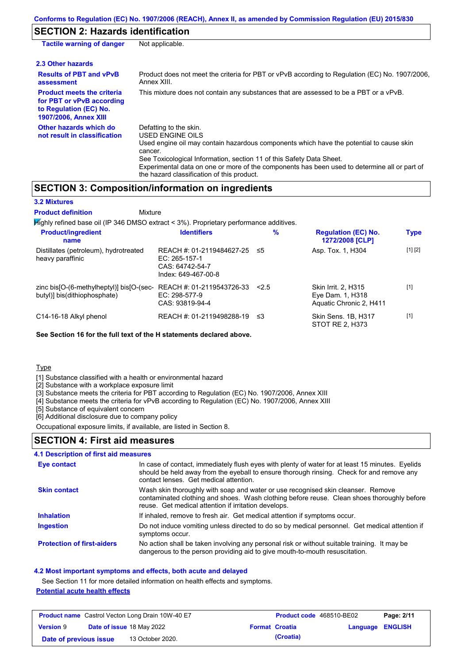## **SECTION 2: Hazards identification**

| <b>Tactile warning of danger</b>                                                                                         | Not applicable.                                                                                                                                                                                                                                                                                                                                                        |
|--------------------------------------------------------------------------------------------------------------------------|------------------------------------------------------------------------------------------------------------------------------------------------------------------------------------------------------------------------------------------------------------------------------------------------------------------------------------------------------------------------|
| 2.3 Other hazards                                                                                                        |                                                                                                                                                                                                                                                                                                                                                                        |
| <b>Results of PBT and vPvB</b><br>assessment                                                                             | Product does not meet the criteria for PBT or vPvB according to Regulation (EC) No. 1907/2006,<br>Annex XIII.                                                                                                                                                                                                                                                          |
| <b>Product meets the criteria</b><br>for PBT or vPvB according<br>to Regulation (EC) No.<br><b>1907/2006, Annex XIII</b> | This mixture does not contain any substances that are assessed to be a PBT or a vPvB.                                                                                                                                                                                                                                                                                  |
| Other hazards which do<br>not result in classification                                                                   | Defatting to the skin.<br>USED ENGINE OILS<br>Used engine oil may contain hazardous components which have the potential to cause skin<br>cancer.<br>See Toxicological Information, section 11 of this Safety Data Sheet.<br>Experimental data on one or more of the components has been used to determine all or part of<br>the hazard classification of this product. |

## **SECTION 3: Composition/information on ingredients**

| <b>3.2 Mixtures</b>                                                                       |                                                                                      |      |                                                                    |             |
|-------------------------------------------------------------------------------------------|--------------------------------------------------------------------------------------|------|--------------------------------------------------------------------|-------------|
| <b>Product definition</b><br>Mixture                                                      |                                                                                      |      |                                                                    |             |
| $H$ ighly refined base oil (IP 346 DMSO extract < 3%). Proprietary performance additives. |                                                                                      |      |                                                                    |             |
| <b>Product/ingredient</b><br>name                                                         | <b>Identifiers</b>                                                                   | $\%$ | <b>Regulation (EC) No.</b><br>1272/2008 [CLP]                      | <b>Type</b> |
| Distillates (petroleum), hydrotreated<br>heavy paraffinic                                 | REACH #: 01-2119484627-25<br>EC: 265-157-1<br>CAS: 64742-54-7<br>Index: 649-467-00-8 | ≤5   | Asp. Tox. 1, H304                                                  | [1] [2]     |
| zinc bis[O-(6-methylheptyl)] bis[O-(sec-<br>butyl)] bis(dithiophosphate)                  | REACH #: 01-2119543726-33<br>$EC: 298-577-9$<br>CAS: 93819-94-4                      | 2.5  | Skin Irrit. 2, H315<br>Eye Dam. 1, H318<br>Aquatic Chronic 2. H411 | $[1]$       |
| C14-16-18 Alkyl phenol                                                                    | REACH #: 01-2119498288-19                                                            | ≤3   | Skin Sens. 1B, H317<br>STOT RE 2. H373                             | $[1]$       |

**See Section 16 for the full text of the H statements declared above.**

#### Type

[1] Substance classified with a health or environmental hazard

[2] Substance with a workplace exposure limit

[3] Substance meets the criteria for PBT according to Regulation (EC) No. 1907/2006, Annex XIII

[4] Substance meets the criteria for vPvB according to Regulation (EC) No. 1907/2006, Annex XIII

[5] Substance of equivalent concern

[6] Additional disclosure due to company policy

Occupational exposure limits, if available, are listed in Section 8.

### **SECTION 4: First aid measures**

### **4.1 Description of first aid measures**

| Eye contact                       | In case of contact, immediately flush eyes with plenty of water for at least 15 minutes. Eyelids<br>should be held away from the eyeball to ensure thorough rinsing. Check for and remove any<br>contact lenses. Get medical attention. |
|-----------------------------------|-----------------------------------------------------------------------------------------------------------------------------------------------------------------------------------------------------------------------------------------|
| <b>Skin contact</b>               | Wash skin thoroughly with soap and water or use recognised skin cleanser. Remove<br>contaminated clothing and shoes. Wash clothing before reuse. Clean shoes thoroughly before<br>reuse. Get medical attention if irritation develops.  |
| <b>Inhalation</b>                 | If inhaled, remove to fresh air. Get medical attention if symptoms occur.                                                                                                                                                               |
| <b>Ingestion</b>                  | Do not induce vomiting unless directed to do so by medical personnel. Get medical attention if<br>symptoms occur.                                                                                                                       |
| <b>Protection of first-aiders</b> | No action shall be taken involving any personal risk or without suitable training. It may be<br>dangerous to the person providing aid to give mouth-to-mouth resuscitation.                                                             |

#### **4.2 Most important symptoms and effects, both acute and delayed**

See Section 11 for more detailed information on health effects and symptoms. **Potential acute health effects**

| <b>Product name</b> Castrol Vecton Long Drain 10W-40 E7 |  |                                  | Product code 468510-BE02 |                       | Page: 2/11              |  |
|---------------------------------------------------------|--|----------------------------------|--------------------------|-----------------------|-------------------------|--|
| <b>Version 9</b>                                        |  | <b>Date of issue 18 May 2022</b> |                          | <b>Format Croatia</b> | <b>Language ENGLISH</b> |  |
| Date of previous issue                                  |  | 13 October 2020.                 |                          | (Croatia)             |                         |  |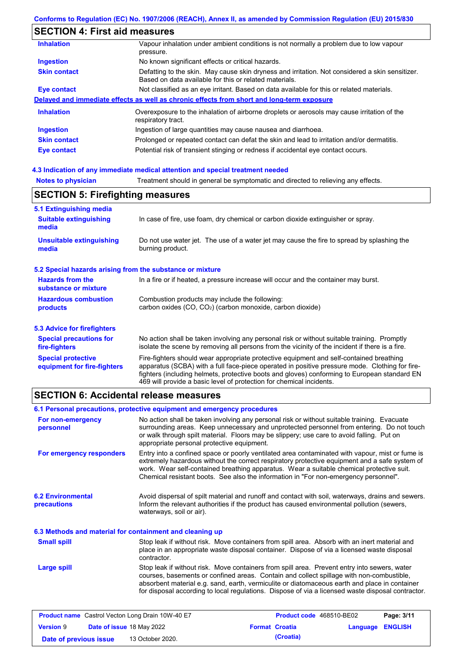# **SECTION 4: First aid measures**

| <b>Inhalation</b>   | Vapour inhalation under ambient conditions is not normally a problem due to low vapour<br>pressure.                                                       |
|---------------------|-----------------------------------------------------------------------------------------------------------------------------------------------------------|
| <b>Ingestion</b>    | No known significant effects or critical hazards.                                                                                                         |
| <b>Skin contact</b> | Defatting to the skin. May cause skin dryness and irritation. Not considered a skin sensitizer.<br>Based on data available for this or related materials. |
| Eye contact         | Not classified as an eye irritant. Based on data available for this or related materials.                                                                 |
|                     | Delayed and immediate effects as well as chronic effects from short and long-term exposure                                                                |
| <b>Inhalation</b>   | Overexposure to the inhalation of airborne droplets or aerosols may cause irritation of the<br>respiratory tract.                                         |
| <b>Ingestion</b>    | Ingestion of large quantities may cause nausea and diarrhoea.                                                                                             |
| <b>Skin contact</b> | Prolonged or repeated contact can defat the skin and lead to irritation and/or dermatitis.                                                                |
| Eye contact         | Potential risk of transient stinging or redness if accidental eye contact occurs.                                                                         |
|                     |                                                                                                                                                           |

## **4.3 Indication of any immediate medical attention and special treatment needed**

| <b>Notes to physician</b>                                 | Treatment should in general be symptomatic and directed to relieving any effects.                                                                                                                                                                                                                                                                                 |  |  |  |
|-----------------------------------------------------------|-------------------------------------------------------------------------------------------------------------------------------------------------------------------------------------------------------------------------------------------------------------------------------------------------------------------------------------------------------------------|--|--|--|
| <b>SECTION 5: Firefighting measures</b>                   |                                                                                                                                                                                                                                                                                                                                                                   |  |  |  |
| 5.1 Extinguishing media<br><b>Suitable extinguishing</b>  | In case of fire, use foam, dry chemical or carbon dioxide extinguisher or spray.                                                                                                                                                                                                                                                                                  |  |  |  |
| media                                                     |                                                                                                                                                                                                                                                                                                                                                                   |  |  |  |
| <b>Unsuitable extinguishing</b><br>media                  | Do not use water jet. The use of a water jet may cause the fire to spread by splashing the<br>burning product.                                                                                                                                                                                                                                                    |  |  |  |
| 5.2 Special hazards arising from the substance or mixture |                                                                                                                                                                                                                                                                                                                                                                   |  |  |  |
| <b>Hazards from the</b><br>substance or mixture           | In a fire or if heated, a pressure increase will occur and the container may burst.                                                                                                                                                                                                                                                                               |  |  |  |
| <b>Hazardous combustion</b><br>products                   | Combustion products may include the following:<br>carbon oxides $(CO, CO2)$ (carbon monoxide, carbon dioxide)                                                                                                                                                                                                                                                     |  |  |  |
| <b>5.3 Advice for firefighters</b>                        |                                                                                                                                                                                                                                                                                                                                                                   |  |  |  |
| <b>Special precautions for</b><br>fire-fighters           | No action shall be taken involving any personal risk or without suitable training. Promptly<br>isolate the scene by removing all persons from the vicinity of the incident if there is a fire.                                                                                                                                                                    |  |  |  |
| <b>Special protective</b><br>equipment for fire-fighters  | Fire-fighters should wear appropriate protective equipment and self-contained breathing<br>apparatus (SCBA) with a full face-piece operated in positive pressure mode. Clothing for fire-<br>fighters (including helmets, protective boots and gloves) conforming to European standard EN<br>469 will provide a basic level of protection for chemical incidents. |  |  |  |

# **SECTION 6: Accidental release measures**

|                                                                                                                                                                                                                                                                                                                                                                                                                  | 6.1 Personal precautions, protective equipment and emergency procedures                                                                                                                                                                                                                                                                                                                        |  |  |
|------------------------------------------------------------------------------------------------------------------------------------------------------------------------------------------------------------------------------------------------------------------------------------------------------------------------------------------------------------------------------------------------------------------|------------------------------------------------------------------------------------------------------------------------------------------------------------------------------------------------------------------------------------------------------------------------------------------------------------------------------------------------------------------------------------------------|--|--|
| For non-emergency<br>personnel                                                                                                                                                                                                                                                                                                                                                                                   | No action shall be taken involving any personal risk or without suitable training. Evacuate<br>surrounding areas. Keep unnecessary and unprotected personnel from entering. Do not touch<br>or walk through spilt material. Floors may be slippery; use care to avoid falling. Put on<br>appropriate personal protective equipment.                                                            |  |  |
| Entry into a confined space or poorly ventilated area contaminated with vapour, mist or fume is<br>For emergency responders<br>extremely hazardous without the correct respiratory protective equipment and a safe system of<br>work. Wear self-contained breathing apparatus. Wear a suitable chemical protective suit.<br>Chemical resistant boots. See also the information in "For non-emergency personnel". |                                                                                                                                                                                                                                                                                                                                                                                                |  |  |
| <b>6.2 Environmental</b><br>Avoid dispersal of spilt material and runoff and contact with soil, waterways, drains and sewers.<br>Inform the relevant authorities if the product has caused environmental pollution (sewers,<br>precautions<br>waterways, soil or air).                                                                                                                                           |                                                                                                                                                                                                                                                                                                                                                                                                |  |  |
| 6.3 Methods and material for containment and cleaning up                                                                                                                                                                                                                                                                                                                                                         |                                                                                                                                                                                                                                                                                                                                                                                                |  |  |
| <b>Small spill</b>                                                                                                                                                                                                                                                                                                                                                                                               | Stop leak if without risk. Move containers from spill area. Absorb with an inert material and<br>place in an appropriate waste disposal container. Dispose of via a licensed waste disposal<br>contractor.                                                                                                                                                                                     |  |  |
| <b>Large spill</b>                                                                                                                                                                                                                                                                                                                                                                                               | Stop leak if without risk. Move containers from spill area. Prevent entry into sewers, water<br>courses, basements or confined areas. Contain and collect spillage with non-combustible,<br>absorbent material e.g. sand, earth, vermiculite or diatomaceous earth and place in container<br>for disposal according to local regulations. Dispose of via a licensed waste disposal contractor. |  |  |

| <b>Product name</b> Castrol Vecton Long Drain 10W-40 E7 |  |                                  | <b>Product code</b> 468510-BE02 |                       | Page: 3/11              |  |
|---------------------------------------------------------|--|----------------------------------|---------------------------------|-----------------------|-------------------------|--|
| <b>Version 9</b>                                        |  | <b>Date of issue 18 May 2022</b> |                                 | <b>Format Croatia</b> | <b>Language ENGLISH</b> |  |
| Date of previous issue                                  |  | 13 October 2020.                 |                                 | (Croatia)             |                         |  |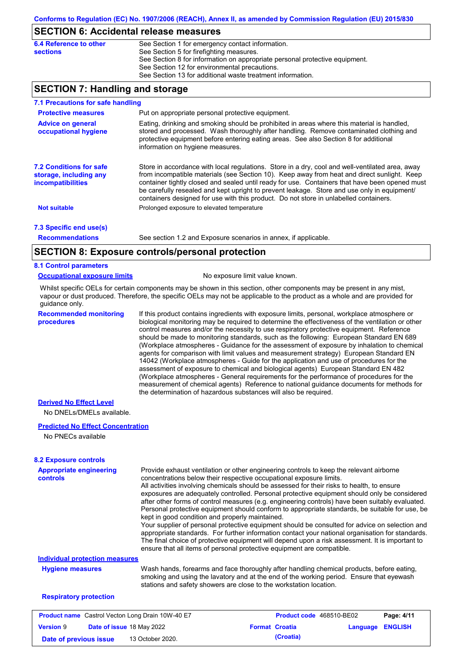## **SECTION 6: Accidental release measures**

| 6.4 Reference to other | See Section 1 for emergency contact information.                            |
|------------------------|-----------------------------------------------------------------------------|
| <b>sections</b>        | See Section 5 for firefighting measures.                                    |
|                        | See Section 8 for information on appropriate personal protective equipment. |
|                        | See Section 12 for environmental precautions.                               |
|                        | See Section 13 for additional waste treatment information.                  |

## **SECTION 7: Handling and storage**

| 7.1 Precautions for safe handling                                                    |                                                                                                                                                                                                                                                                                                                                                                                                                                                                                          |
|--------------------------------------------------------------------------------------|------------------------------------------------------------------------------------------------------------------------------------------------------------------------------------------------------------------------------------------------------------------------------------------------------------------------------------------------------------------------------------------------------------------------------------------------------------------------------------------|
| <b>Protective measures</b>                                                           | Put on appropriate personal protective equipment.                                                                                                                                                                                                                                                                                                                                                                                                                                        |
| <b>Advice on general</b><br>occupational hygiene                                     | Eating, drinking and smoking should be prohibited in areas where this material is handled,<br>stored and processed. Wash thoroughly after handling. Remove contaminated clothing and<br>protective equipment before entering eating areas. See also Section 8 for additional<br>information on hygiene measures.                                                                                                                                                                         |
| <b>7.2 Conditions for safe</b><br>storage, including any<br><i>incompatibilities</i> | Store in accordance with local regulations. Store in a dry, cool and well-ventilated area, away<br>from incompatible materials (see Section 10). Keep away from heat and direct sunlight. Keep<br>container tightly closed and sealed until ready for use. Containers that have been opened must<br>be carefully resealed and kept upright to prevent leakage. Store and use only in equipment/<br>containers designed for use with this product. Do not store in unlabelled containers. |
| Not suitable                                                                         | Prolonged exposure to elevated temperature                                                                                                                                                                                                                                                                                                                                                                                                                                               |
| 7.3 Specific end use(s)                                                              |                                                                                                                                                                                                                                                                                                                                                                                                                                                                                          |
| <b>Recommendations</b>                                                               | See section 1.2 and Exposure scenarios in annex, if applicable.                                                                                                                                                                                                                                                                                                                                                                                                                          |
|                                                                                      | CECTION 0. Evacoure controlainergonal protection                                                                                                                                                                                                                                                                                                                                                                                                                                         |

## **SECTION 8: Exposure controls/personal protection**

### **8.1 Control parameters**

#### **Occupational exposure limits** No exposure limit value known.

Whilst specific OELs for certain components may be shown in this section, other components may be present in any mist, vapour or dust produced. Therefore, the specific OELs may not be applicable to the product as a whole and are provided for guidance only.

**Recommended monitoring procedures**

If this product contains ingredients with exposure limits, personal, workplace atmosphere or biological monitoring may be required to determine the effectiveness of the ventilation or other control measures and/or the necessity to use respiratory protective equipment. Reference should be made to monitoring standards, such as the following: European Standard EN 689 (Workplace atmospheres - Guidance for the assessment of exposure by inhalation to chemical agents for comparison with limit values and measurement strategy) European Standard EN 14042 (Workplace atmospheres - Guide for the application and use of procedures for the assessment of exposure to chemical and biological agents) European Standard EN 482 (Workplace atmospheres - General requirements for the performance of procedures for the measurement of chemical agents) Reference to national guidance documents for methods for the determination of hazardous substances will also be required.

## **Derived No Effect Level**

No DNELs/DMELs available.

### **Predicted No Effect Concentration**

No PNECs available

| <b>Appropriate engineering</b><br><b>controls</b>       | Provide exhaust ventilation or other engineering controls to keep the relevant airborne<br>concentrations below their respective occupational exposure limits.<br>All activities involving chemicals should be assessed for their risks to health, to ensure<br>exposures are adequately controlled. Personal protective equipment should only be considered<br>after other forms of control measures (e.g. engineering controls) have been suitably evaluated.<br>Personal protective equipment should conform to appropriate standards, be suitable for use, be<br>kept in good condition and properly maintained.<br>Your supplier of personal protective equipment should be consulted for advice on selection and<br>appropriate standards. For further information contact your national organisation for standards.<br>The final choice of protective equipment will depend upon a risk assessment. It is important to<br>ensure that all items of personal protective equipment are compatible. |  |                          |          |                |  |
|---------------------------------------------------------|---------------------------------------------------------------------------------------------------------------------------------------------------------------------------------------------------------------------------------------------------------------------------------------------------------------------------------------------------------------------------------------------------------------------------------------------------------------------------------------------------------------------------------------------------------------------------------------------------------------------------------------------------------------------------------------------------------------------------------------------------------------------------------------------------------------------------------------------------------------------------------------------------------------------------------------------------------------------------------------------------------|--|--------------------------|----------|----------------|--|
| <b>Individual protection measures</b>                   |                                                                                                                                                                                                                                                                                                                                                                                                                                                                                                                                                                                                                                                                                                                                                                                                                                                                                                                                                                                                         |  |                          |          |                |  |
| <b>Hygiene measures</b>                                 | Wash hands, forearms and face thoroughly after handling chemical products, before eating,<br>smoking and using the lavatory and at the end of the working period. Ensure that eyewash<br>stations and safety showers are close to the workstation location.                                                                                                                                                                                                                                                                                                                                                                                                                                                                                                                                                                                                                                                                                                                                             |  |                          |          |                |  |
| <b>Respiratory protection</b>                           |                                                                                                                                                                                                                                                                                                                                                                                                                                                                                                                                                                                                                                                                                                                                                                                                                                                                                                                                                                                                         |  |                          |          |                |  |
| <b>Product name</b> Castrol Vecton Long Drain 10W-40 E7 |                                                                                                                                                                                                                                                                                                                                                                                                                                                                                                                                                                                                                                                                                                                                                                                                                                                                                                                                                                                                         |  | Product code 468510-BE02 |          | Page: 4/11     |  |
| <b>Version 9</b><br>Date of issue 18 May 2022           |                                                                                                                                                                                                                                                                                                                                                                                                                                                                                                                                                                                                                                                                                                                                                                                                                                                                                                                                                                                                         |  | <b>Format Croatia</b>    | Language | <b>ENGLISH</b> |  |

**Date of previous issue (Croatia)** 13 October 2020.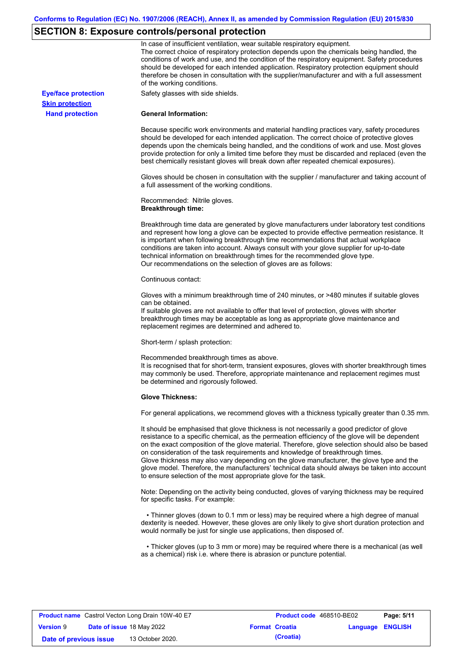# **SECTION 8: Exposure controls/personal protection**

|                            | In case of insufficient ventilation, wear suitable respiratory equipment.<br>The correct choice of respiratory protection depends upon the chemicals being handled, the<br>conditions of work and use, and the condition of the respiratory equipment. Safety procedures<br>should be developed for each intended application. Respiratory protection equipment should<br>therefore be chosen in consultation with the supplier/manufacturer and with a full assessment<br>of the working conditions.                                                                                                                                             |
|----------------------------|---------------------------------------------------------------------------------------------------------------------------------------------------------------------------------------------------------------------------------------------------------------------------------------------------------------------------------------------------------------------------------------------------------------------------------------------------------------------------------------------------------------------------------------------------------------------------------------------------------------------------------------------------|
| <b>Eye/face protection</b> | Safety glasses with side shields.                                                                                                                                                                                                                                                                                                                                                                                                                                                                                                                                                                                                                 |
| <b>Skin protection</b>     |                                                                                                                                                                                                                                                                                                                                                                                                                                                                                                                                                                                                                                                   |
| <b>Hand protection</b>     | <b>General Information:</b>                                                                                                                                                                                                                                                                                                                                                                                                                                                                                                                                                                                                                       |
|                            | Because specific work environments and material handling practices vary, safety procedures<br>should be developed for each intended application. The correct choice of protective gloves<br>depends upon the chemicals being handled, and the conditions of work and use. Most gloves<br>provide protection for only a limited time before they must be discarded and replaced (even the<br>best chemically resistant gloves will break down after repeated chemical exposures).                                                                                                                                                                  |
|                            | Gloves should be chosen in consultation with the supplier / manufacturer and taking account of<br>a full assessment of the working conditions.                                                                                                                                                                                                                                                                                                                                                                                                                                                                                                    |
|                            | Recommended: Nitrile gloves.<br><b>Breakthrough time:</b>                                                                                                                                                                                                                                                                                                                                                                                                                                                                                                                                                                                         |
|                            | Breakthrough time data are generated by glove manufacturers under laboratory test conditions<br>and represent how long a glove can be expected to provide effective permeation resistance. It<br>is important when following breakthrough time recommendations that actual workplace<br>conditions are taken into account. Always consult with your glove supplier for up-to-date<br>technical information on breakthrough times for the recommended glove type.<br>Our recommendations on the selection of gloves are as follows:                                                                                                                |
|                            | Continuous contact:                                                                                                                                                                                                                                                                                                                                                                                                                                                                                                                                                                                                                               |
|                            | Gloves with a minimum breakthrough time of 240 minutes, or >480 minutes if suitable gloves<br>can be obtained.<br>If suitable gloves are not available to offer that level of protection, gloves with shorter<br>breakthrough times may be acceptable as long as appropriate glove maintenance and<br>replacement regimes are determined and adhered to.                                                                                                                                                                                                                                                                                          |
|                            | Short-term / splash protection:                                                                                                                                                                                                                                                                                                                                                                                                                                                                                                                                                                                                                   |
|                            | Recommended breakthrough times as above.<br>It is recognised that for short-term, transient exposures, gloves with shorter breakthrough times<br>may commonly be used. Therefore, appropriate maintenance and replacement regimes must<br>be determined and rigorously followed.                                                                                                                                                                                                                                                                                                                                                                  |
|                            | <b>Glove Thickness:</b>                                                                                                                                                                                                                                                                                                                                                                                                                                                                                                                                                                                                                           |
|                            | For general applications, we recommend gloves with a thickness typically greater than 0.35 mm.                                                                                                                                                                                                                                                                                                                                                                                                                                                                                                                                                    |
|                            | It should be emphasised that glove thickness is not necessarily a good predictor of glove<br>resistance to a specific chemical, as the permeation efficiency of the glove will be dependent<br>on the exact composition of the glove material. Therefore, glove selection should also be based<br>on consideration of the task requirements and knowledge of breakthrough times.<br>Glove thickness may also vary depending on the glove manufacturer, the glove type and the<br>glove model. Therefore, the manufacturers' technical data should always be taken into account<br>to ensure selection of the most appropriate glove for the task. |
|                            | Note: Depending on the activity being conducted, gloves of varying thickness may be required<br>for specific tasks. For example:                                                                                                                                                                                                                                                                                                                                                                                                                                                                                                                  |
|                            | • Thinner gloves (down to 0.1 mm or less) may be required where a high degree of manual<br>dexterity is needed. However, these gloves are only likely to give short duration protection and<br>would normally be just for single use applications, then disposed of.                                                                                                                                                                                                                                                                                                                                                                              |
|                            | • Thicker gloves (up to 3 mm or more) may be required where there is a mechanical (as well<br>as a chemical) risk i.e. where there is abrasion or puncture potential.                                                                                                                                                                                                                                                                                                                                                                                                                                                                             |

| <b>Product name</b> Castrol Vecton Long Drain 10W-40 E7 |  |                                  | Product code 468510-BE02 | Page: 5/11            |                         |  |
|---------------------------------------------------------|--|----------------------------------|--------------------------|-----------------------|-------------------------|--|
| <b>Version 9</b>                                        |  | <b>Date of issue 18 May 2022</b> |                          | <b>Format Croatia</b> | <b>Language ENGLISH</b> |  |
| Date of previous issue                                  |  | 13 October 2020.                 |                          | (Croatia)             |                         |  |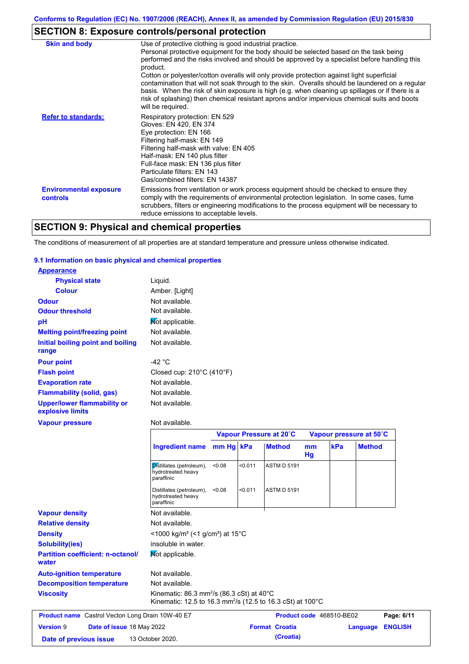# **SECTION 8: Exposure controls/personal protection**

| <b>Skin and body</b>                             | Use of protective clothing is good industrial practice.<br>Personal protective equipment for the body should be selected based on the task being<br>performed and the risks involved and should be approved by a specialist before handling this<br>product.<br>Cotton or polyester/cotton overalls will only provide protection against light superficial<br>contamination that will not soak through to the skin. Overalls should be laundered on a regular<br>basis. When the risk of skin exposure is high (e.g. when cleaning up spillages or if there is a<br>risk of splashing) then chemical resistant aprons and/or impervious chemical suits and boots<br>will be required. |
|--------------------------------------------------|---------------------------------------------------------------------------------------------------------------------------------------------------------------------------------------------------------------------------------------------------------------------------------------------------------------------------------------------------------------------------------------------------------------------------------------------------------------------------------------------------------------------------------------------------------------------------------------------------------------------------------------------------------------------------------------|
| <b>Refer to standards:</b>                       | Respiratory protection: EN 529<br>Gloves: EN 420, EN 374<br>Eye protection: EN 166<br>Filtering half-mask: EN 149<br>Filtering half-mask with valve: EN 405<br>Half-mask: EN 140 plus filter<br>Full-face mask: EN 136 plus filter<br>Particulate filters: EN 143<br>Gas/combined filters: EN 14387                                                                                                                                                                                                                                                                                                                                                                                   |
| <b>Environmental exposure</b><br><b>controls</b> | Emissions from ventilation or work process equipment should be checked to ensure they<br>comply with the requirements of environmental protection legislation. In some cases, fume<br>scrubbers, filters or engineering modifications to the process equipment will be necessary to<br>reduce emissions to acceptable levels.                                                                                                                                                                                                                                                                                                                                                         |

# **SECTION 9: Physical and chemical properties**

The conditions of measurement of all properties are at standard temperature and pressure unless otherwise indicated.

### **9.1 Information on basic physical and chemical properties**

| <b>Appearance</b>                                      |                                                |
|--------------------------------------------------------|------------------------------------------------|
| <b>Physical state</b>                                  | Liquid.                                        |
| <b>Colour</b>                                          | Amber. [Light]                                 |
| <b>Odour</b>                                           | Not available.                                 |
| <b>Odour threshold</b>                                 | Not available.                                 |
| рH                                                     | Mot applicable.                                |
| <b>Melting point/freezing point</b>                    | Not available.                                 |
| Initial boiling point and boiling                      | Not available.                                 |
| range                                                  |                                                |
| <b>Pour point</b>                                      | -42 $^{\circ}$ C                               |
| <b>Flash point</b>                                     | Closed cup: $210^{\circ}$ C (410 $^{\circ}$ F) |
| <b>Evaporation rate</b>                                | Not available.                                 |
| <b>Flammability (solid, gas)</b>                       | Not available.                                 |
| <b>Upper/lower flammability or</b><br>explosive limits | Not available.                                 |
| <b>Vapour pressure</b>                                 | Not available.                                 |

|                                                         |                                                                                                                                             |           |         | Vapour Pressure at 20°C |          |                          | Vapour pressure at 50°C |                |
|---------------------------------------------------------|---------------------------------------------------------------------------------------------------------------------------------------------|-----------|---------|-------------------------|----------|--------------------------|-------------------------|----------------|
|                                                         | <b>Ingredient name</b>                                                                                                                      | mm Hg kPa |         | <b>Method</b>           | mm<br>Hg | kPa                      | <b>Method</b>           |                |
|                                                         | Distillates (petroleum),<br>hydrotreated heavy<br>paraffinic                                                                                | < 0.08    | < 0.011 | <b>ASTM D 5191</b>      |          |                          |                         |                |
|                                                         | Distillates (petroleum),<br>hydrotreated heavy<br>paraffinic                                                                                | < 0.08    | < 0.011 | <b>ASTM D 5191</b>      |          |                          |                         |                |
| <b>Vapour density</b>                                   | Not available.                                                                                                                              |           |         |                         |          |                          |                         |                |
| <b>Relative density</b>                                 | Not available.                                                                                                                              |           |         |                         |          |                          |                         |                |
| <b>Density</b>                                          | $\leq$ 1000 kg/m <sup>3</sup> (<1 g/cm <sup>3</sup> ) at 15 <sup>°</sup> C                                                                  |           |         |                         |          |                          |                         |                |
| <b>Solubility(ies)</b>                                  | insoluble in water.                                                                                                                         |           |         |                         |          |                          |                         |                |
| <b>Partition coefficient: n-octanol/</b><br>water       | Mot applicable.                                                                                                                             |           |         |                         |          |                          |                         |                |
| <b>Auto-ignition temperature</b>                        | Not available.                                                                                                                              |           |         |                         |          |                          |                         |                |
| <b>Decomposition temperature</b>                        | Not available.                                                                                                                              |           |         |                         |          |                          |                         |                |
| <b>Viscosity</b>                                        | Kinematic: 86.3 mm <sup>2</sup> /s (86.3 cSt) at 40 $^{\circ}$ C<br>Kinematic: 12.5 to 16.3 mm <sup>2</sup> /s (12.5 to 16.3 cSt) at 100 °C |           |         |                         |          |                          |                         |                |
| <b>Product name</b> Castrol Vecton Long Drain 10W-40 E7 |                                                                                                                                             |           |         |                         |          | Product code 468510-BE02 |                         | Page: 6/11     |
| <b>Version 9</b><br><b>Date of issue 18 May 2022</b>    |                                                                                                                                             |           |         | <b>Format Croatia</b>   |          |                          | Language                | <b>ENGLISH</b> |
| Date of previous issue                                  | 13 October 2020.                                                                                                                            |           |         | (Croatia)               |          |                          |                         |                |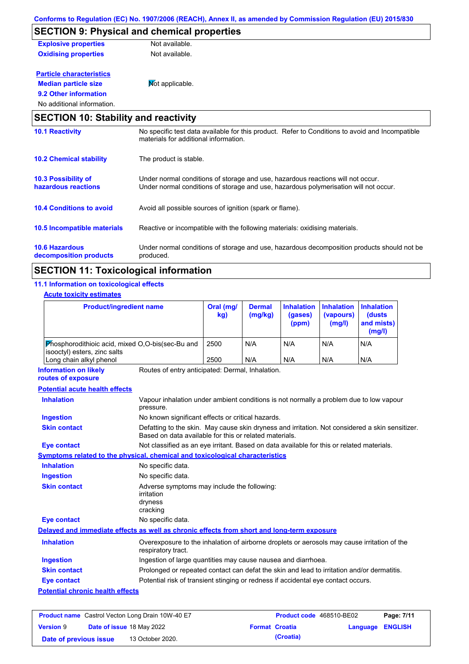| <b>SECTION 9: Physical and chemical properties</b> |                 |  |  |  |  |  |
|----------------------------------------------------|-----------------|--|--|--|--|--|
| <b>Explosive properties</b>                        | Not available.  |  |  |  |  |  |
| <b>Oxidising properties</b>                        | Not available.  |  |  |  |  |  |
| <b>Particle characteristics</b>                    |                 |  |  |  |  |  |
| <b>Median particle size</b>                        | Mot applicable. |  |  |  |  |  |
| 9.2 Other information                              |                 |  |  |  |  |  |
| No additional information.                         |                 |  |  |  |  |  |
| <b>SECTION 10: Stability and reactivity</b>        |                 |  |  |  |  |  |

| <b>10.1 Reactivity</b>                            | No specific test data available for this product. Refer to Conditions to avoid and Incompatible<br>materials for additional information.                                |
|---------------------------------------------------|-------------------------------------------------------------------------------------------------------------------------------------------------------------------------|
| <b>10.2 Chemical stability</b>                    | The product is stable.                                                                                                                                                  |
| <b>10.3 Possibility of</b><br>hazardous reactions | Under normal conditions of storage and use, hazardous reactions will not occur.<br>Under normal conditions of storage and use, hazardous polymerisation will not occur. |
| <b>10.4 Conditions to avoid</b>                   | Avoid all possible sources of ignition (spark or flame).                                                                                                                |
| 10.5 Incompatible materials                       | Reactive or incompatible with the following materials: oxidising materials.                                                                                             |
| <b>10.6 Hazardous</b><br>decomposition products   | Under normal conditions of storage and use, hazardous decomposition products should not be<br>produced.                                                                 |

# **SECTION 11: Toxicological information**

## **11.1 Information on toxicological effects**

#### **Acute toxicity estimates**

|                                                                                          | <b>Product/ingredient name</b>                                                                      | Oral (mg/<br>kg)                                                                                                                                          | <b>Dermal</b><br>(mg/kg) | <b>Inhalation</b><br>(gases)<br>(ppm) | <b>Inhalation</b><br>(vapours)<br>(mg/l) | <b>Inhalation</b><br>(dusts<br>and mists)<br>(mg/l) |
|------------------------------------------------------------------------------------------|-----------------------------------------------------------------------------------------------------|-----------------------------------------------------------------------------------------------------------------------------------------------------------|--------------------------|---------------------------------------|------------------------------------------|-----------------------------------------------------|
| <b>Phosphorodithioic acid, mixed O,O-bis (sec-Bu and</b><br>isooctyl) esters, zinc salts |                                                                                                     | 2500                                                                                                                                                      | N/A                      | N/A                                   | N/A                                      | N/A                                                 |
| Long chain alkyl phenol                                                                  |                                                                                                     | 2500                                                                                                                                                      | N/A                      | N/A                                   | N/A                                      | N/A                                                 |
| <b>Information on likely</b><br>routes of exposure                                       | Routes of entry anticipated: Dermal, Inhalation.                                                    |                                                                                                                                                           |                          |                                       |                                          |                                                     |
| <b>Potential acute health effects</b>                                                    |                                                                                                     |                                                                                                                                                           |                          |                                       |                                          |                                                     |
| <b>Inhalation</b>                                                                        | Vapour inhalation under ambient conditions is not normally a problem due to low vapour<br>pressure. |                                                                                                                                                           |                          |                                       |                                          |                                                     |
| <b>Ingestion</b>                                                                         |                                                                                                     | No known significant effects or critical hazards.                                                                                                         |                          |                                       |                                          |                                                     |
| <b>Skin contact</b>                                                                      |                                                                                                     | Defatting to the skin. May cause skin dryness and irritation. Not considered a skin sensitizer.<br>Based on data available for this or related materials. |                          |                                       |                                          |                                                     |
| Eye contact                                                                              |                                                                                                     | Not classified as an eye irritant. Based on data available for this or related materials.                                                                 |                          |                                       |                                          |                                                     |
| Symptoms related to the physical, chemical and toxicological characteristics             |                                                                                                     |                                                                                                                                                           |                          |                                       |                                          |                                                     |
| <b>Inhalation</b>                                                                        | No specific data.                                                                                   |                                                                                                                                                           |                          |                                       |                                          |                                                     |
| Ingestion                                                                                | No specific data.                                                                                   |                                                                                                                                                           |                          |                                       |                                          |                                                     |
| <b>Skin contact</b>                                                                      | Adverse symptoms may include the following:<br><i>irritation</i>                                    |                                                                                                                                                           |                          |                                       |                                          |                                                     |

|                                         | dryness                                                                                                           |
|-----------------------------------------|-------------------------------------------------------------------------------------------------------------------|
|                                         | cracking                                                                                                          |
| Eye contact                             | No specific data.                                                                                                 |
|                                         | Delayed and immediate effects as well as chronic effects from short and long-term exposure                        |
| <b>Inhalation</b>                       | Overexposure to the inhalation of airborne droplets or aerosols may cause irritation of the<br>respiratory tract. |
| <b>Ingestion</b>                        | Ingestion of large quantities may cause nausea and diarrhoea.                                                     |
| <b>Skin contact</b>                     | Prolonged or repeated contact can defat the skin and lead to irritation and/or dermatitis.                        |
| Eye contact                             | Potential risk of transient stinging or redness if accidental eye contact occurs.                                 |
| <b>Potential chronic health effects</b> |                                                                                                                   |

| <b>Product name</b> Castrol Vecton Long Drain 10W-40 E7 |  |                                  | Product code 468510-BE02 |                       | Page: 7/11              |  |
|---------------------------------------------------------|--|----------------------------------|--------------------------|-----------------------|-------------------------|--|
| <b>Version 9</b>                                        |  | <b>Date of issue 18 May 2022</b> |                          | <b>Format Croatia</b> | <b>Language ENGLISH</b> |  |
| Date of previous issue                                  |  | 13 October 2020.                 |                          | (Croatia)             |                         |  |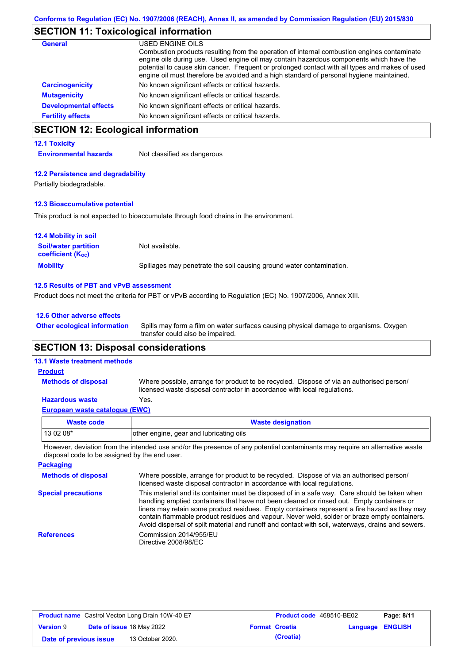# **SECTION 11: Toxicological information**

| <b>General</b>               | USED ENGINE OILS                                                                                                                                                                                                                                                                                                                                                                     |
|------------------------------|--------------------------------------------------------------------------------------------------------------------------------------------------------------------------------------------------------------------------------------------------------------------------------------------------------------------------------------------------------------------------------------|
|                              | Combustion products resulting from the operation of internal combustion engines contaminate<br>engine oils during use. Used engine oil may contain hazardous components which have the<br>potential to cause skin cancer. Frequent or prolonged contact with all types and makes of used<br>engine oil must therefore be avoided and a high standard of personal hygiene maintained. |
| <b>Carcinogenicity</b>       | No known significant effects or critical hazards.                                                                                                                                                                                                                                                                                                                                    |
| <b>Mutagenicity</b>          | No known significant effects or critical hazards.                                                                                                                                                                                                                                                                                                                                    |
| <b>Developmental effects</b> | No known significant effects or critical hazards.                                                                                                                                                                                                                                                                                                                                    |
| <b>Fertility effects</b>     | No known significant effects or critical hazards.                                                                                                                                                                                                                                                                                                                                    |

# **SECTION 12: Ecological information**

### **12.1 Toxicity**

**Environmental hazards** Not classified as dangerous

#### **12.2 Persistence and degradability**

Partially biodegradable.

### **12.3 Bioaccumulative potential**

This product is not expected to bioaccumulate through food chains in the environment.

| <b>12.4 Mobility in soil</b>                            |                                                                      |
|---------------------------------------------------------|----------------------------------------------------------------------|
| <b>Soil/water partition</b><br><b>coefficient (Koc)</b> | Not available.                                                       |
| <b>Mobility</b>                                         | Spillages may penetrate the soil causing ground water contamination. |

#### **12.5 Results of PBT and vPvB assessment**

Product does not meet the criteria for PBT or vPvB according to Regulation (EC) No. 1907/2006, Annex XIII.

### **12.6 Other adverse effects**

**Other ecological information**

Spills may form a film on water surfaces causing physical damage to organisms. Oxygen transfer could also be impaired.

## **SECTION 13: Disposal considerations**

## **13.1 Waste treatment methods**

**Methods of disposal**

#### **Product**

Where possible, arrange for product to be recycled. Dispose of via an authorised person/ licensed waste disposal contractor in accordance with local regulations.

## **Hazardous waste** Yes.

|  | European waste catalogue (EWC) |
|--|--------------------------------|
|--|--------------------------------|

| Waste code  | <b>Waste designation</b>                |
|-------------|-----------------------------------------|
| l 13 02 08* | other engine, gear and lubricating oils |

However, deviation from the intended use and/or the presence of any potential contaminants may require an alternative waste disposal code to be assigned by the end user.

| <b>Packaging</b>           |                                                                                                                                                                                                                                                                                                                                                                                                                                                                                                 |
|----------------------------|-------------------------------------------------------------------------------------------------------------------------------------------------------------------------------------------------------------------------------------------------------------------------------------------------------------------------------------------------------------------------------------------------------------------------------------------------------------------------------------------------|
| <b>Methods of disposal</b> | Where possible, arrange for product to be recycled. Dispose of via an authorised person/<br>licensed waste disposal contractor in accordance with local regulations.                                                                                                                                                                                                                                                                                                                            |
| <b>Special precautions</b> | This material and its container must be disposed of in a safe way. Care should be taken when<br>handling emptied containers that have not been cleaned or rinsed out. Empty containers or<br>liners may retain some product residues. Empty containers represent a fire hazard as they may<br>contain flammable product residues and vapour. Never weld, solder or braze empty containers.<br>Avoid dispersal of spilt material and runoff and contact with soil, waterways, drains and sewers. |
| <b>References</b>          | Commission 2014/955/EU<br>Directive 2008/98/EC                                                                                                                                                                                                                                                                                                                                                                                                                                                  |

| <b>Product name</b> Castrol Vecton Long Drain 10W-40 E7 |  | Product code 468510-BE02  |  | Page: 8/11            |                  |  |
|---------------------------------------------------------|--|---------------------------|--|-----------------------|------------------|--|
| <b>Version 9</b>                                        |  | Date of issue 18 May 2022 |  | <b>Format Croatia</b> | Language ENGLISH |  |
| Date of previous issue                                  |  | 13 October 2020.          |  | (Croatia)             |                  |  |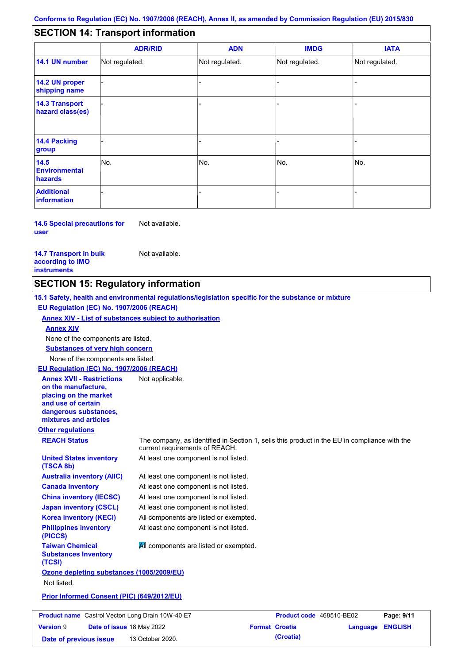#### - - - - - - - - - Not regulated. Not regulated. Not regulated. - - - **SECTION 14: Transport information ADR/RID IMDG IATA 14.1 UN number 14.2 UN proper shipping name 14.3 Transport hazard class(es) 14.4 Packing group ADN Additional information 14.5 Environmental hazards** No. 1980 | No. 1980 | No. 1980 | No. 1980 | No. 1980 | No. 1980 | No. 1980 | No. 1980 | No. 1980 | No. 1980 | Not regulated. - -<br>No. - -

**14.6 Special precautions for user** Not available.

**14.7 Transport in bulk according to IMO instruments**

Not available.

## **SECTION 15: Regulatory information**

**Other regulations REACH Status** The company, as identified in Section 1, sells this product in the EU in compliance with the current requirements of REACH. **15.1 Safety, health and environmental regulations/legislation specific for the substance or mixture EU Regulation (EC) No. 1907/2006 (REACH) Annex XIV - List of substances subject to authorisation Substances of very high concern** None of the components are listed. At least one component is not listed. At least one component is not listed. At least one component is not listed. At least one component is not listed. At least one component is not listed. All components are listed or exempted. At least one component is not listed. **United States inventory (TSCA 8b) Australia inventory (AIIC) Canada inventory China inventory (IECSC) Japan inventory (CSCL) Korea inventory (KECI) Philippines inventory (PICCS) Taiwan Chemical Substances Inventory (TCSI) All components are listed or exempted. Ozone depleting substances (1005/2009/EU)** Not listed. **Prior Informed Consent (PIC) (649/2012/EU)** None of the components are listed. **Annex XIV EU Regulation (EC) No. 1907/2006 (REACH) Annex XVII - Restrictions on the manufacture, placing on the market and use of certain dangerous substances, mixtures and articles** Not applicable.

**Product name** Castrol Vecton Long Drain 10W-40 E7 **Product Code 468510-BE02 Page: 9/11 Version** 9 **Date of issue** 18 May 2022 **Format Croatia Language ENGLISH Date of previous issue 13 October 2020. (Croatia) (Croatia)**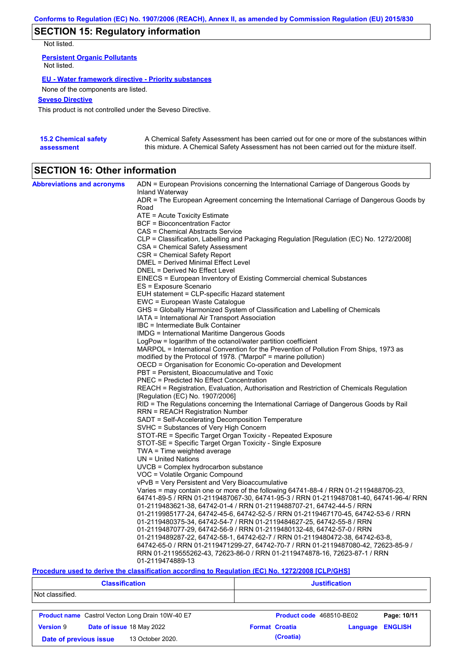# **SECTION 15: Regulatory information**

Not listed.

**Persistent Organic Pollutants** Not listed.

### **EU - Water framework directive - Priority substances**

None of the components are listed.

## **Seveso Directive**

This product is not controlled under the Seveso Directive.

| <b>15.2 Chemical safety</b> | A Chemical Safety Assessment has been carried out for one or more of the substances within  |
|-----------------------------|---------------------------------------------------------------------------------------------|
| assessment                  | this mixture. A Chemical Safety Assessment has not been carried out for the mixture itself. |

# **SECTION 16: Other information**

| <b>Abbreviations and acronyms</b> | ADN = European Provisions concerning the International Carriage of Dangerous Goods by                                           |
|-----------------------------------|---------------------------------------------------------------------------------------------------------------------------------|
|                                   | Inland Waterway<br>ADR = The European Agreement concerning the International Carriage of Dangerous Goods by                     |
|                                   | Road                                                                                                                            |
|                                   | ATE = Acute Toxicity Estimate                                                                                                   |
|                                   | BCF = Bioconcentration Factor                                                                                                   |
|                                   | CAS = Chemical Abstracts Service                                                                                                |
|                                   | CLP = Classification, Labelling and Packaging Regulation [Regulation (EC) No. 1272/2008]                                        |
|                                   | CSA = Chemical Safety Assessment                                                                                                |
|                                   | CSR = Chemical Safety Report                                                                                                    |
|                                   | DMEL = Derived Minimal Effect Level                                                                                             |
|                                   | DNEL = Derived No Effect Level                                                                                                  |
|                                   | EINECS = European Inventory of Existing Commercial chemical Substances                                                          |
|                                   | ES = Exposure Scenario                                                                                                          |
|                                   | EUH statement = CLP-specific Hazard statement                                                                                   |
|                                   | EWC = European Waste Catalogue                                                                                                  |
|                                   | GHS = Globally Harmonized System of Classification and Labelling of Chemicals<br>IATA = International Air Transport Association |
|                                   | IBC = Intermediate Bulk Container                                                                                               |
|                                   | IMDG = International Maritime Dangerous Goods                                                                                   |
|                                   | LogPow = logarithm of the octanol/water partition coefficient                                                                   |
|                                   | MARPOL = International Convention for the Prevention of Pollution From Ships, 1973 as                                           |
|                                   | modified by the Protocol of 1978. ("Marpol" = marine pollution)                                                                 |
|                                   | OECD = Organisation for Economic Co-operation and Development                                                                   |
|                                   | PBT = Persistent, Bioaccumulative and Toxic                                                                                     |
|                                   | <b>PNEC</b> = Predicted No Effect Concentration                                                                                 |
|                                   | REACH = Registration, Evaluation, Authorisation and Restriction of Chemicals Regulation                                         |
|                                   | [Regulation (EC) No. 1907/2006]                                                                                                 |
|                                   | RID = The Regulations concerning the International Carriage of Dangerous Goods by Rail                                          |
|                                   | <b>RRN = REACH Registration Number</b>                                                                                          |
|                                   | SADT = Self-Accelerating Decomposition Temperature                                                                              |
|                                   | SVHC = Substances of Very High Concern                                                                                          |
|                                   | STOT-RE = Specific Target Organ Toxicity - Repeated Exposure<br>STOT-SE = Specific Target Organ Toxicity - Single Exposure      |
|                                   | $TWA = Time$ weighted average                                                                                                   |
|                                   | $UN = United Nations$                                                                                                           |
|                                   | UVCB = Complex hydrocarbon substance                                                                                            |
|                                   | VOC = Volatile Organic Compound                                                                                                 |
|                                   | vPvB = Very Persistent and Very Bioaccumulative                                                                                 |
|                                   | Varies = may contain one or more of the following 64741-88-4 / RRN 01-2119488706-23,                                            |
|                                   | 64741-89-5 / RRN 01-2119487067-30, 64741-95-3 / RRN 01-2119487081-40, 64741-96-4/ RRN                                           |
|                                   | 01-2119483621-38, 64742-01-4 / RRN 01-2119488707-21, 64742-44-5 / RRN                                                           |
|                                   | 01-2119985177-24, 64742-45-6, 64742-52-5 / RRN 01-2119467170-45, 64742-53-6 / RRN                                               |
|                                   | 01-2119480375-34, 64742-54-7 / RRN 01-2119484627-25, 64742-55-8 / RRN                                                           |
|                                   | 01-2119487077-29, 64742-56-9 / RRN 01-2119480132-48, 64742-57-0 / RRN                                                           |
|                                   | 01-2119489287-22, 64742-58-1, 64742-62-7 / RRN 01-2119480472-38, 64742-63-8,                                                    |
|                                   | 64742-65-0 / RRN 01-2119471299-27, 64742-70-7 / RRN 01-2119487080-42, 72623-85-9 /                                              |
|                                   | RRN 01-2119555262-43, 72623-86-0 / RRN 01-2119474878-16, 72623-87-1 / RRN                                                       |
|                                   | 01-2119474889-13                                                                                                                |

## **Procedure used to derive the classification according to Regulation (EC) No. 1272/2008 [CLP/GHS]**

| <b>Classification</b>                      |                                                         | <b>Justification</b>     |          |                |  |
|--------------------------------------------|---------------------------------------------------------|--------------------------|----------|----------------|--|
| Not classified.                            |                                                         |                          |          |                |  |
|                                            | <b>Product name</b> Castrol Vecton Long Drain 10W-40 E7 | Product code 468510-BE02 |          | Page: 10/11    |  |
| <b>Version 9</b>                           | Date of issue 18 May 2022                               | <b>Format Croatia</b>    | Language | <b>ENGLISH</b> |  |
| 13 October 2020.<br>Date of previous issue |                                                         | (Croatia)                |          |                |  |